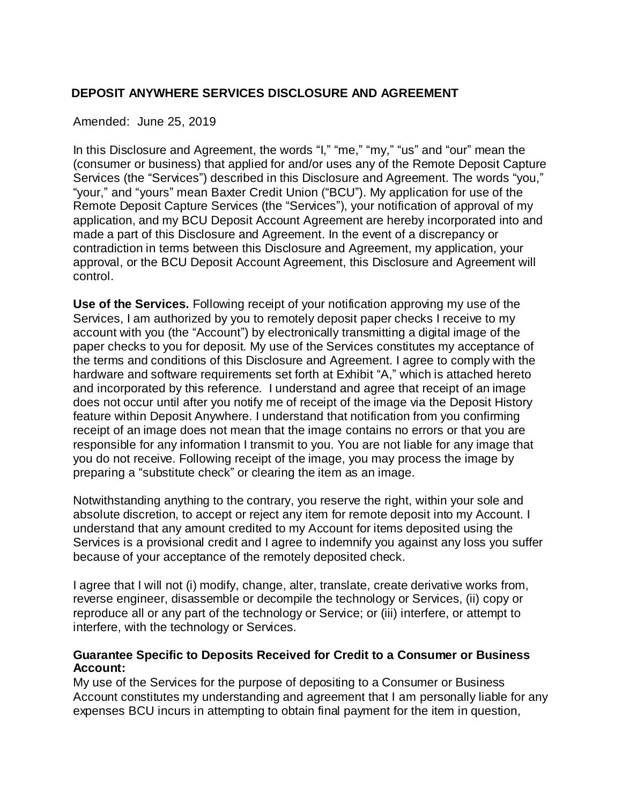## **DEPOSIT ANYWHERE SERVICES DISCLOSURE AND AGREEMENT**

#### Amended: June 25, 2019

In this Disclosure and Agreement, the words "I," "me," "my," "us" and "our" mean the (consumer or business) that applied for and/or uses any of the Remote Deposit Capture Services (the "Services") described in this Disclosure and Agreement. The words "you," "your," and "yours" mean Baxter Credit Union ("BCU"). My application for use of the Remote Deposit Capture Services (the "Services"), your notification of approval of my application, and my BCU Deposit Account Agreement are hereby incorporated into and made a part of this Disclosure and Agreement. In the event of a discrepancy or contradiction in terms between this Disclosure and Agreement, my application, your approval, or the BCU Deposit Account Agreement, this Disclosure and Agreement will control.

**Use of the Services.** Following receipt of your notification approving my use of the Services, I am authorized by you to remotely deposit paper checks I receive to my account with you (the "Account") by electronically transmitting a digital image of the paper checks to you for deposit. My use of the Services constitutes my acceptance of the terms and conditions of this Disclosure and Agreement. I agree to comply with the hardware and software requirements set forth at Exhibit "A," which is attached hereto and incorporated by this reference. I understand and agree that receipt of an image does not occur until after you notify me of receipt of the image via the Deposit History feature within Deposit Anywhere. I understand that notification from you confirming receipt of an image does not mean that the image contains no errors or that you are responsible for any information I transmit to you. You are not liable for any image that you do not receive. Following receipt of the image, you may process the image by preparing a "substitute check" or clearing the item as an image.

Notwithstanding anything to the contrary, you reserve the right, within your sole and absolute discretion, to accept or reject any item for remote deposit into my Account. I understand that any amount credited to my Account for items deposited using the Services is a provisional credit and I agree to indemnify you against any loss you suffer because of your acceptance of the remotely deposited check.

I agree that I will not (i) modify, change, alter, translate, create derivative works from, reverse engineer, disassemble or decompile the technology or Services, (ii) copy or reproduce all or any part of the technology or Service; or (iii) interfere, or attempt to interfere, with the technology or Services.

#### **Guarantee Specific to Deposits Received for Credit to a Consumer or Business Account:**

My use of the Services for the purpose of depositing to a Consumer or Business Account constitutes my understanding and agreement that I am personally liable for any expenses BCU incurs in attempting to obtain final payment for the item in question,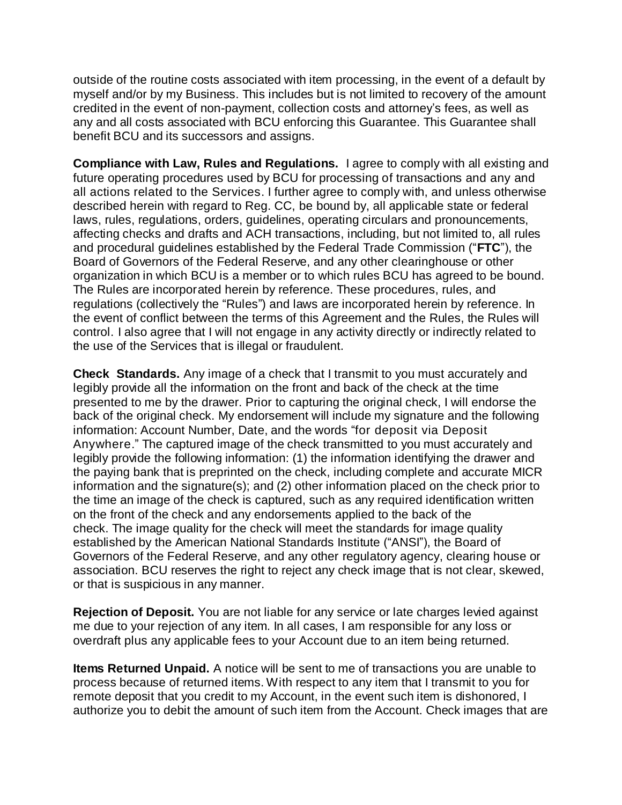outside of the routine costs associated with item processing, in the event of a default by myself and/or by my Business. This includes but is not limited to recovery of the amount credited in the event of non-payment, collection costs and attorney's fees, as well as any and all costs associated with BCU enforcing this Guarantee. This Guarantee shall benefit BCU and its successors and assigns.

**Compliance with Law, Rules and Regulations.** I agree to comply with all existing and future operating procedures used by BCU for processing of transactions and any and all actions related to the Services. I further agree to comply with, and unless otherwise described herein with regard to Reg. CC, be bound by, all applicable state or federal laws, rules, regulations, orders, guidelines, operating circulars and pronouncements, affecting checks and drafts and ACH transactions, including, but not limited to, all rules and procedural guidelines established by the Federal Trade Commission ("**FTC**"), the Board of Governors of the Federal Reserve, and any other clearinghouse or other organization in which BCU is a member or to which rules BCU has agreed to be bound. The Rules are incorporated herein by reference. These procedures, rules, and regulations (collectively the "Rules") and laws are incorporated herein by reference. In the event of conflict between the terms of this Agreement and the Rules, the Rules will control. I also agree that I will not engage in any activity directly or indirectly related to the use of the Services that is illegal or fraudulent.

**Check Standards.** Any image of a check that I transmit to you must accurately and legibly provide all the information on the front and back of the check at the time presented to me by the drawer. Prior to capturing the original check, I will endorse the back of the original check. My endorsement will include my signature and the following information: Account Number, Date, and the words "for deposit via Deposit Anywhere." The captured image of the check transmitted to you must accurately and legibly provide the following information: (1) the information identifying the drawer and the paying bank that is preprinted on the check, including complete and accurate MICR information and the signature(s); and (2) other information placed on the check prior to the time an image of the check is captured, such as any required identification written on the front of the check and any endorsements applied to the back of the check. The image quality for the check will meet the standards for image quality established by the American National Standards Institute ("ANSI"), the Board of Governors of the Federal Reserve, and any other regulatory agency, clearing house or association. BCU reserves the right to reject any check image that is not clear, skewed, or that is suspicious in any manner.

**Rejection of Deposit.** You are not liable for any service or late charges levied against me due to your rejection of any item. In all cases, I am responsible for any loss or overdraft plus any applicable fees to your Account due to an item being returned.

**Items Returned Unpaid.** A notice will be sent to me of transactions you are unable to process because of returned items. With respect to any item that I transmit to you for remote deposit that you credit to my Account, in the event such item is dishonored, I authorize you to debit the amount of such item from the Account. Check images that are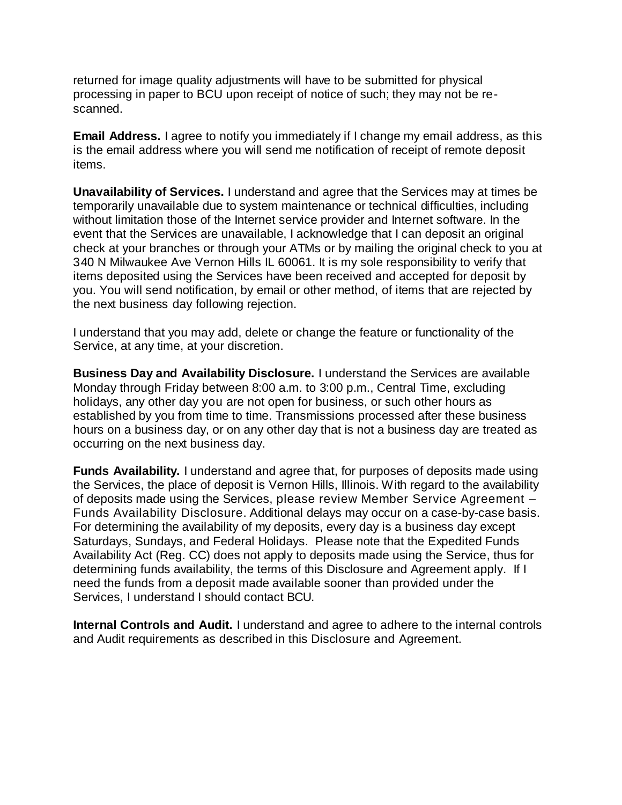returned for image quality adjustments will have to be submitted for physical processing in paper to BCU upon receipt of notice of such; they may not be rescanned.

**Email Address.** I agree to notify you immediately if I change my email address, as this is the email address where you will send me notification of receipt of remote deposit items.

**Unavailability of Services.** I understand and agree that the Services may at times be temporarily unavailable due to system maintenance or technical difficulties, including without limitation those of the Internet service provider and Internet software. In the event that the Services are unavailable, I acknowledge that I can deposit an original check at your branches or through your ATMs or by mailing the original check to you at 340 N Milwaukee Ave Vernon Hills IL 60061. It is my sole responsibility to verify that items deposited using the Services have been received and accepted for deposit by you. You will send notification, by email or other method, of items that are rejected by the next business day following rejection.

I understand that you may add, delete or change the feature or functionality of the Service, at any time, at your discretion.

**Business Day and Availability Disclosure.** I understand the Services are available Monday through Friday between 8:00 a.m. to 3:00 p.m., Central Time, excluding holidays, any other day you are not open for business, or such other hours as established by you from time to time. Transmissions processed after these business hours on a business day, or on any other day that is not a business day are treated as occurring on the next business day.

**Funds Availability.** I understand and agree that, for purposes of deposits made using the Services, the place of deposit is Vernon Hills, Illinois. With regard to the availability of deposits made using the Services, please review Member Service Agreement – Funds Availability Disclosure. Additional delays may occur on a case-by-case basis. For determining the availability of my deposits, every day is a business day except Saturdays, Sundays, and Federal Holidays. Please note that the Expedited Funds Availability Act (Reg. CC) does not apply to deposits made using the Service, thus for determining funds availability, the terms of this Disclosure and Agreement apply. If I need the funds from a deposit made available sooner than provided under the Services, I understand I should contact BCU.

**Internal Controls and Audit.** I understand and agree to adhere to the internal controls and Audit requirements as described in this Disclosure and Agreement.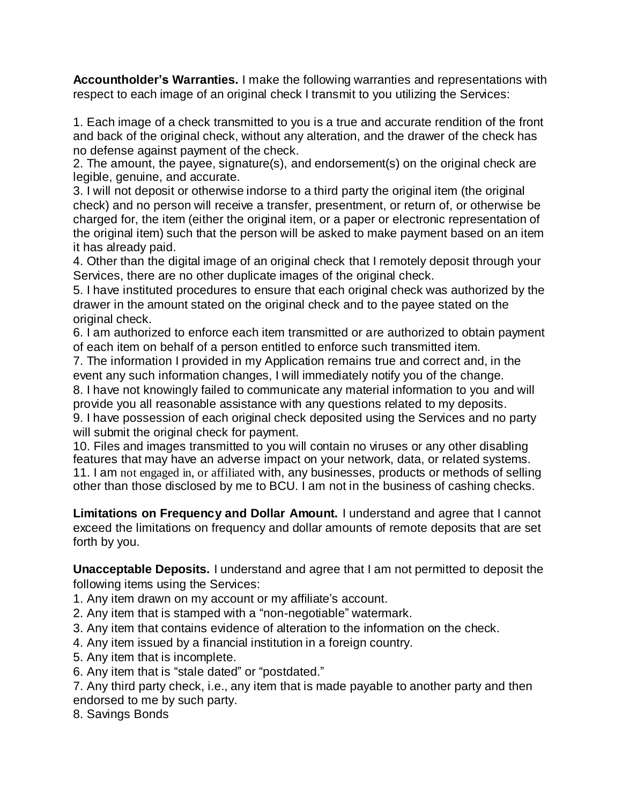**Accountholder's Warranties.** I make the following warranties and representations with respect to each image of an original check I transmit to you utilizing the Services:

1. Each image of a check transmitted to you is a true and accurate rendition of the front and back of the original check, without any alteration, and the drawer of the check has no defense against payment of the check.

2. The amount, the payee, signature(s), and endorsement(s) on the original check are legible, genuine, and accurate.

3. I will not deposit or otherwise indorse to a third party the original item (the original check) and no person will receive a transfer, presentment, or return of, or otherwise be charged for, the item (either the original item, or a paper or electronic representation of the original item) such that the person will be asked to make payment based on an item it has already paid.

4. Other than the digital image of an original check that I remotely deposit through your Services, there are no other duplicate images of the original check.

5. I have instituted procedures to ensure that each original check was authorized by the drawer in the amount stated on the original check and to the payee stated on the original check.

6. I am authorized to enforce each item transmitted or are authorized to obtain payment of each item on behalf of a person entitled to enforce such transmitted item.

7. The information I provided in my Application remains true and correct and, in the event any such information changes, I will immediately notify you of the change.

8. I have not knowingly failed to communicate any material information to you and will provide you all reasonable assistance with any questions related to my deposits. 9. I have possession of each original check deposited using the Services and no party

will submit the original check for payment.

10. Files and images transmitted to you will contain no viruses or any other disabling features that may have an adverse impact on your network, data, or related systems. 11. I am not engaged in, or affiliated with, any businesses, products or methods of selling other than those disclosed by me to BCU. I am not in the business of cashing checks.

**Limitations on Frequency and Dollar Amount.** I understand and agree that I cannot exceed the limitations on frequency and dollar amounts of remote deposits that are set forth by you.

**Unacceptable Deposits.** I understand and agree that I am not permitted to deposit the following items using the Services:

1. Any item drawn on my account or my affiliate's account.

2. Any item that is stamped with a "non-negotiable" watermark.

3. Any item that contains evidence of alteration to the information on the check.

4. Any item issued by a financial institution in a foreign country.

- 5. Any item that is incomplete.
- 6. Any item that is "stale dated" or "postdated."

7. Any third party check, i.e., any item that is made payable to another party and then endorsed to me by such party.

8. Savings Bonds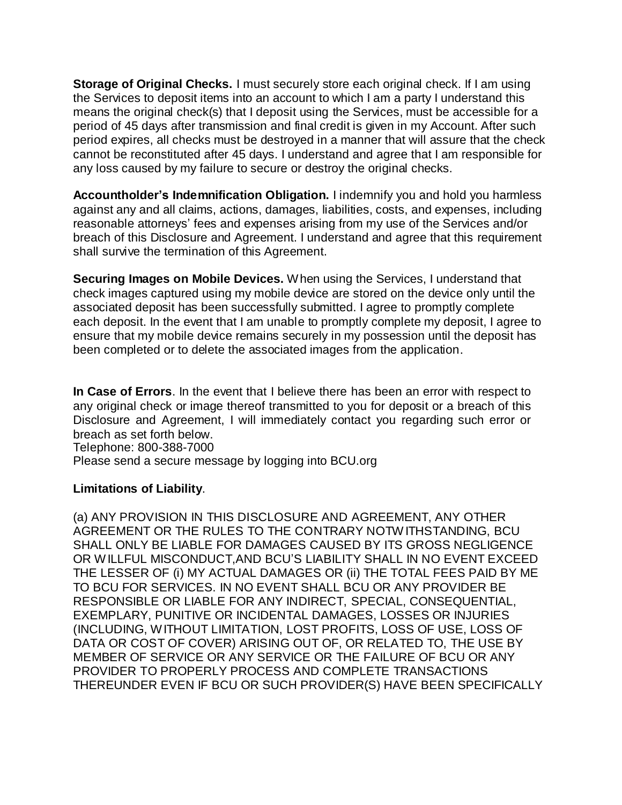**Storage of Original Checks.** I must securely store each original check. If I am using the Services to deposit items into an account to which I am a party I understand this means the original check(s) that I deposit using the Services, must be accessible for a period of 45 days after transmission and final credit is given in my Account. After such period expires, all checks must be destroyed in a manner that will assure that the check cannot be reconstituted after 45 days. I understand and agree that I am responsible for any loss caused by my failure to secure or destroy the original checks.

**Accountholder's Indemnification Obligation.** I indemnify you and hold you harmless against any and all claims, actions, damages, liabilities, costs, and expenses, including reasonable attorneys' fees and expenses arising from my use of the Services and/or breach of this Disclosure and Agreement. I understand and agree that this requirement shall survive the termination of this Agreement.

**Securing Images on Mobile Devices.** When using the Services, I understand that check images captured using my mobile device are stored on the device only until the associated deposit has been successfully submitted. I agree to promptly complete each deposit. In the event that I am unable to promptly complete my deposit, I agree to ensure that my mobile device remains securely in my possession until the deposit has been completed or to delete the associated images from the application.

**In Case of Errors**. In the event that I believe there has been an error with respect to any original check or image thereof transmitted to you for deposit or a breach of this Disclosure and Agreement, I will immediately contact you regarding such error or breach as set forth below. Telephone: 800-388-7000

Please send a secure message by logging into BCU.org

## **Limitations of Liability**.

(a) ANY PROVISION IN THIS DISCLOSURE AND AGREEMENT, ANY OTHER AGREEMENT OR THE RULES TO THE CONTRARY NOTW ITHSTANDING, BCU SHALL ONLY BE LIABLE FOR DAMAGES CAUSED BY ITS GROSS NEGLIGENCE OR WILLFUL MISCONDUCT,AND BCU'S LIABILITY SHALL IN NO EVENT EXCEED THE LESSER OF (i) MY ACTUAL DAMAGES OR (ii) THE TOTAL FEES PAID BY ME TO BCU FOR SERVICES. IN NO EVENT SHALL BCU OR ANY PROVIDER BE RESPONSIBLE OR LIABLE FOR ANY INDIRECT, SPECIAL, CONSEQUENTIAL, EXEMPLARY, PUNITIVE OR INCIDENTAL DAMAGES, LOSSES OR INJURIES (INCLUDING, WITHOUT LIMITATION, LOST PROFITS, LOSS OF USE, LOSS OF DATA OR COST OF COVER) ARISING OUT OF, OR RELATED TO, THE USE BY MEMBER OF SERVICE OR ANY SERVICE OR THE FAILURE OF BCU OR ANY PROVIDER TO PROPERLY PROCESS AND COMPLETE TRANSACTIONS THEREUNDER EVEN IF BCU OR SUCH PROVIDER(S) HAVE BEEN SPECIFICALLY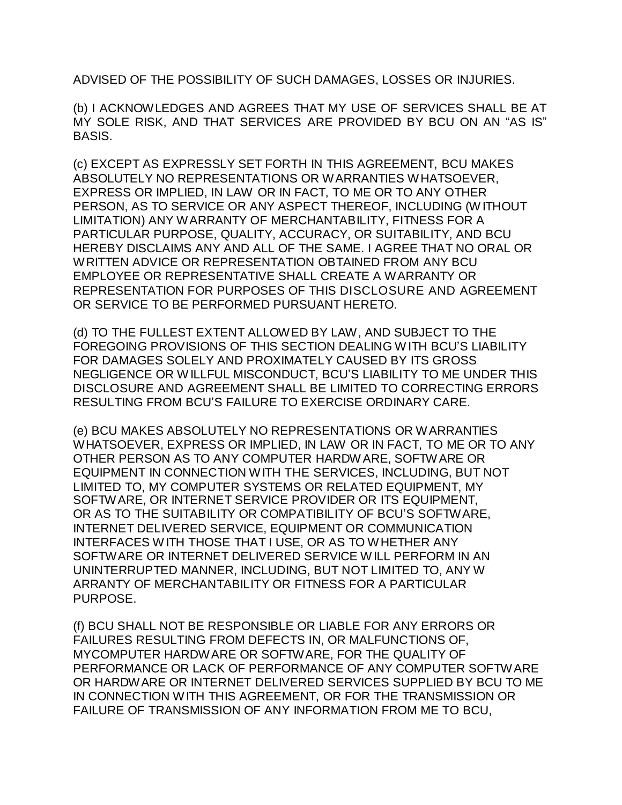ADVISED OF THE POSSIBILITY OF SUCH DAMAGES, LOSSES OR INJURIES.

(b) I ACKNOWLEDGES AND AGREES THAT MY USE OF SERVICES SHALL BE AT MY SOLE RISK, AND THAT SERVICES ARE PROVIDED BY BCU ON AN "AS IS" BASIS.

(c) EXCEPT AS EXPRESSLY SET FORTH IN THIS AGREEMENT, BCU MAKES ABSOLUTELY NO REPRESENTATIONS OR WARRANTIES WHATSOEVER, EXPRESS OR IMPLIED, IN LAW OR IN FACT, TO ME OR TO ANY OTHER PERSON, AS TO SERVICE OR ANY ASPECT THEREOF, INCLUDING (WITHOUT LIMITATION) ANY WARRANTY OF MERCHANTABILITY, FITNESS FOR A PARTICULAR PURPOSE, QUALITY, ACCURACY, OR SUITABILITY, AND BCU HEREBY DISCLAIMS ANY AND ALL OF THE SAME. I AGREE THAT NO ORAL OR WRITTEN ADVICE OR REPRESENTATION OBTAINED FROM ANY BCU EMPLOYEE OR REPRESENTATIVE SHALL CREATE A WARRANTY OR REPRESENTATION FOR PURPOSES OF THIS DISCLOSURE AND AGREEMENT OR SERVICE TO BE PERFORMED PURSUANT HERETO.

(d) TO THE FULLEST EXTENT ALLOWED BY LAW, AND SUBJECT TO THE FOREGOING PROVISIONS OF THIS SECTION DEALING W ITH BCU'S LIABILITY FOR DAMAGES SOLELY AND PROXIMATELY CAUSED BY ITS GROSS NEGLIGENCE OR WILLFUL MISCONDUCT, BCU'S LIABILITY TO ME UNDER THIS DISCLOSURE AND AGREEMENT SHALL BE LIMITED TO CORRECTING ERRORS RESULTING FROM BCU'S FAILURE TO EXERCISE ORDINARY CARE.

(e) BCU MAKES ABSOLUTELY NO REPRESENTATIONS OR WARRANTIES WHATSOEVER, EXPRESS OR IMPLIED, IN LAW OR IN FACT, TO ME OR TO ANY OTHER PERSON AS TO ANY COMPUTER HARDWARE, SOFTWARE OR EQUIPMENT IN CONNECTION WITH THE SERVICES, INCLUDING, BUT NOT LIMITED TO, MY COMPUTER SYSTEMS OR RELATED EQUIPMENT, MY SOFTWARE, OR INTERNET SERVICE PROVIDER OR ITS EQUIPMENT, OR AS TO THE SUITABILITY OR COMPATIBILITY OF BCU'S SOFTWARE, INTERNET DELIVERED SERVICE, EQUIPMENT OR COMMUNICATION INTERFACES WITH THOSE THAT I USE, OR AS TO WHETHER ANY SOFTWARE OR INTERNET DELIVERED SERVICE WILL PERFORM IN AN UNINTERRUPTED MANNER, INCLUDING, BUT NOT LIMITED TO, ANY W ARRANTY OF MERCHANTABILITY OR FITNESS FOR A PARTICULAR PURPOSE.

(f) BCU SHALL NOT BE RESPONSIBLE OR LIABLE FOR ANY ERRORS OR FAILURES RESULTING FROM DEFECTS IN, OR MALFUNCTIONS OF, MYCOMPUTER HARDWARE OR SOFTWARE, FOR THE QUALITY OF PERFORMANCE OR LACK OF PERFORMANCE OF ANY COMPUTER SOFTWARE OR HARDWARE OR INTERNET DELIVERED SERVICES SUPPLIED BY BCU TO ME IN CONNECTION WITH THIS AGREEMENT, OR FOR THE TRANSMISSION OR FAILURE OF TRANSMISSION OF ANY INFORMATION FROM ME TO BCU,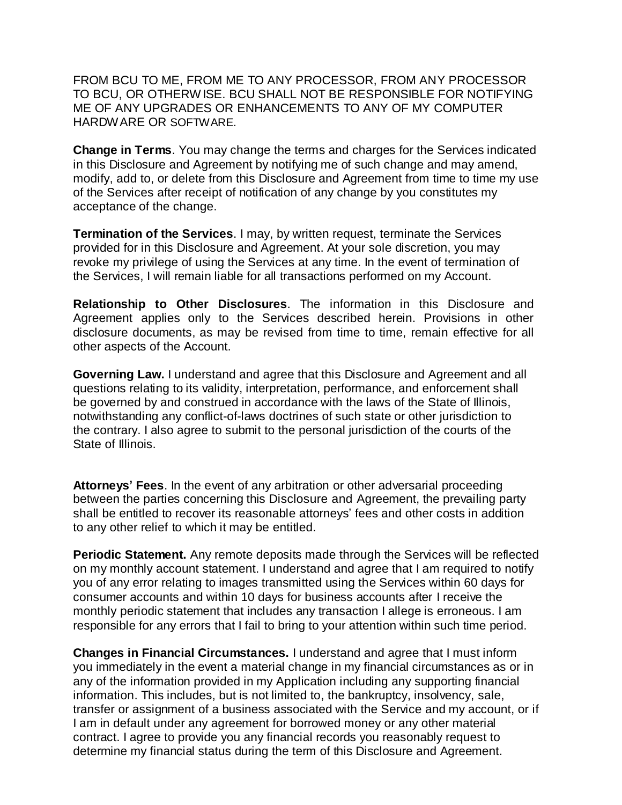FROM BCU TO ME, FROM ME TO ANY PROCESSOR, FROM ANY PROCESSOR TO BCU, OR OTHERWISE. BCU SHALL NOT BE RESPONSIBLE FOR NOTIFYING ME OF ANY UPGRADES OR ENHANCEMENTS TO ANY OF MY COMPUTER HARDWARE OR SOFTWARE.

**Change in Terms**. You may change the terms and charges for the Services indicated in this Disclosure and Agreement by notifying me of such change and may amend, modify, add to, or delete from this Disclosure and Agreement from time to time my use of the Services after receipt of notification of any change by you constitutes my acceptance of the change.

**Termination of the Services**. I may, by written request, terminate the Services provided for in this Disclosure and Agreement. At your sole discretion, you may revoke my privilege of using the Services at any time. In the event of termination of the Services, I will remain liable for all transactions performed on my Account.

**Relationship to Other Disclosures**. The information in this Disclosure and Agreement applies only to the Services described herein. Provisions in other disclosure documents, as may be revised from time to time, remain effective for all other aspects of the Account.

**Governing Law.** I understand and agree that this Disclosure and Agreement and all questions relating to its validity, interpretation, performance, and enforcement shall be governed by and construed in accordance with the laws of the State of Illinois, notwithstanding any conflict-of-laws doctrines of such state or other jurisdiction to the contrary. I also agree to submit to the personal jurisdiction of the courts of the State of Illinois.

**Attorneys' Fees**. In the event of any arbitration or other adversarial proceeding between the parties concerning this Disclosure and Agreement, the prevailing party shall be entitled to recover its reasonable attorneys' fees and other costs in addition to any other relief to which it may be entitled.

**Periodic Statement.** Any remote deposits made through the Services will be reflected on my monthly account statement. I understand and agree that I am required to notify you of any error relating to images transmitted using the Services within 60 days for consumer accounts and within 10 days for business accounts after I receive the monthly periodic statement that includes any transaction I allege is erroneous. I am responsible for any errors that I fail to bring to your attention within such time period.

**Changes in Financial Circumstances.** I understand and agree that I must inform you immediately in the event a material change in my financial circumstances as or in any of the information provided in my Application including any supporting financial information. This includes, but is not limited to, the bankruptcy, insolvency, sale, transfer or assignment of a business associated with the Service and my account, or if I am in default under any agreement for borrowed money or any other material contract. I agree to provide you any financial records you reasonably request to determine my financial status during the term of this Disclosure and Agreement.